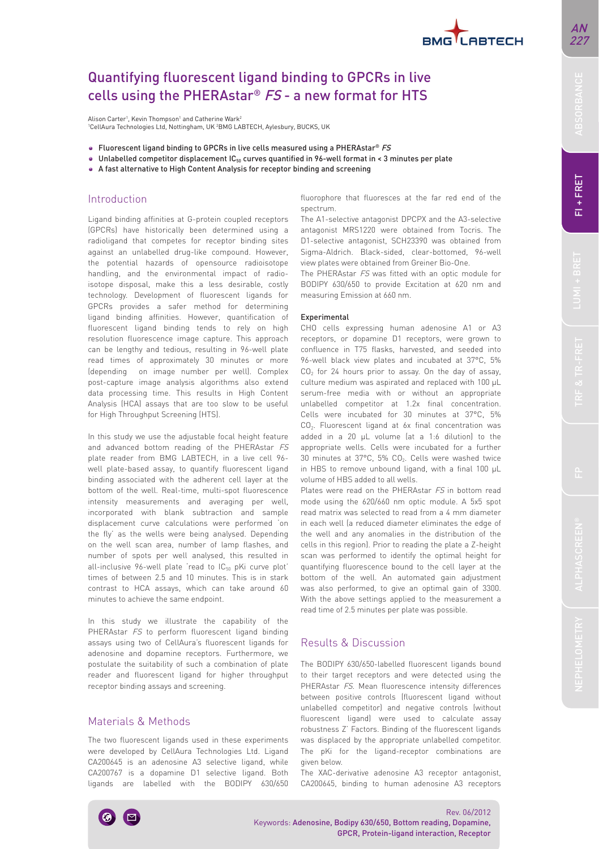

# Quantifying fluorescent ligand binding to GPCRs in live cells using the PHERAstar® FS - a new format for HTS

Alison Carter', Kevin Thompson' and Catherine Wark<sup>2</sup> 1 CellAura Technologies Ltd, Nottingham, UK 2 BMG LABTECH, Aylesbury, BUCKS, UK

- $\bullet$  Fluorescent ligand binding to GPCRs in live cells measured using a PHERAstar® FS
- $\bullet$  Unlabelled competitor displacement IC<sub>50</sub> curves quantified in 96-well format in < 3 minutes per plate
- A fast alternative to High Content Analysis for receptor binding and screening

### Introduction

Ligand binding affinities at G-protein coupled receptors (GPCRs) have historically been determined using a radioligand that competes for receptor binding sites against an unlabelled drug-like compound. However, the potential hazards of opensource radioisotope handling, and the environmental impact of radioisotope disposal, make this a less desirable, costly technology. Development of fluorescent ligands for GPCRs provides a safer method for determining ligand binding affinities. However, quantification of fluorescent ligand binding tends to rely on high resolution fluorescence image capture. This approach can be lengthy and tedious, resulting in 96-well plate read times of approximately 30 minutes or more (depending on image number per well). Complex post-capture image analysis algorithms also extend data processing time. This results in High Content Analysis (HCA) assays that are too slow to be useful for High Throughput Screening (HTS).

In this study we use the adjustable focal height feature and advanced bottom reading of the PHERAstar FS plate reader from BMG LABTECH, in a live cell 96 well plate-based assay, to quantify fluorescent ligand binding associated with the adherent cell layer at the bottom of the well. Real-time, multi-spot fluorescence intensity measurements and averaging per well, incorporated with blank subtraction and sample displacement curve calculations were performed 'on the fly' as the wells were being analysed. Depending on the well scan area, number of lamp flashes, and number of spots per well analysed, this resulted in all-inclusive  $96$ -well plate 'read to  $IC_{50}$  pKi curve plot' times of between 2.5 and 10 minutes. This is in stark contrast to HCA assays, which can take around 60 minutes to achieve the same endpoint.

In this study we illustrate the capability of the PHERAstar FS to perform fluorescent ligand binding assays using two of CellAura's fluorescent ligands for adenosine and dopamine receptors. Furthermore, we postulate the suitability of such a combination of plate reader and fluorescent ligand for higher throughput receptor binding assays and screening.

### Materials & Methods

The two fluorescent ligands used in these experiments were developed by CellAura Technologies Ltd. Ligand CA200645 is an adenosine A3 selective ligand, while CA200767 is a dopamine D1 selective ligand. Both ligands are labelled with the BODIPY 630/650 fluorophore that fluoresces at the far red end of the spectrum.

The A1-selective antagonist DPCPX and the A3-selective antagonist MRS1220 were obtained from Tocris. The D1-selective antagonist, SCH23390 was obtained from Sigma-Aldrich. Black-sided, clear-bottomed, 96-well view plates were obtained from Greiner Bio-One.

The PHERAstar FS was fitted with an optic module for BODIPY 630/650 to provide Excitation at 620 nm and measuring Emission at 660 nm.

#### Experimental

CHO cells expressing human adenosine A1 or A3 receptors, or dopamine D1 receptors, were grown to confluence in T75 flasks, harvested, and seeded into 96-well black view plates and incubated at 37°C, 5% CO<sub>2</sub> for 24 hours prior to assay. On the day of assay, culture medium was aspirated and replaced with 100 μL serum-free media with or without an appropriate unlabelled competitor at 1.2x final concentration. Cells were incubated for 30 minutes at 37°C, 5% CO<sub>2</sub>. Fluorescent ligand at 6x final concentration was added in a 20 μL volume (at a 1:6 dilution) to the appropriate wells. Cells were incubated for a further 30 minutes at  $37^{\circ}$ C, 5% CO<sub>2</sub>. Cells were washed twice in HBS to remove unbound ligand, with a final 100 μL volume of HBS added to all wells.

Plates were read on the PHERAstar FS in bottom read mode using the 620/660 nm optic module. A 5x5 spot read matrix was selected to read from a 4 mm diameter in each well (a reduced diameter eliminates the edge of the well and any anomalies in the distribution of the cells in this region). Prior to reading the plate a Z-height scan was performed to identify the optimal height for quantifying fluorescence bound to the cell layer at the bottom of the well. An automated gain adjustment was also performed, to give an optimal gain of 3300. With the above settings applied to the measurement a read time of 2.5 minutes per plate was possible.

## Results & Discussion

The BODIPY 630/650-labelled fluorescent ligands bound to their target receptors and were detected using the PHERAstar FS. Mean fluorescence intensity differences between positive controls (fluorescent ligand without unlabelled competitor) and negative controls (without fluorescent ligand) were used to calculate assay robustness Z' Factors. Binding of the fluorescent ligands was displaced by the appropriate unlabelled competitor. The pKi for the ligand-receptor combinations are given below.

The XAC-derivative adenosine A3 receptor antagonist, CA200645, binding to human adenosine A3 receptors



FI+FRET